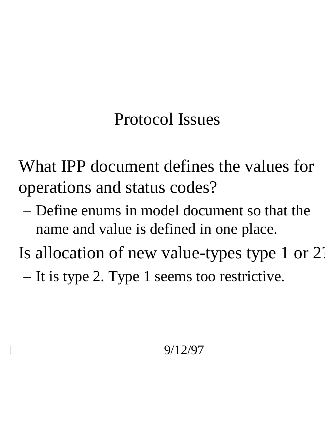# Protocol Issues

• What IPP document defines the values for operations and status codes?

– Define enums in model document so that the name and value is defined in one place.

Is allocation of new value-types type 1 or 2.

– It is type 2. Type 1 seems too restrictive.

## 1 9/12/97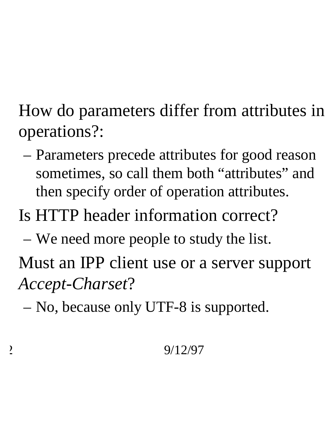• How do parameters differ from attributes in operations?:

– Parameters precede attributes for good reason sometimes, so call them both "attributes" and then specify order of operation attributes.

# • Is HTTP header information correct?

– We need more people to study the list.

Must an IPP client use or a server support *Accept-Charset*?

– No, because only UTF-8 is supported.

## 2 9/12/97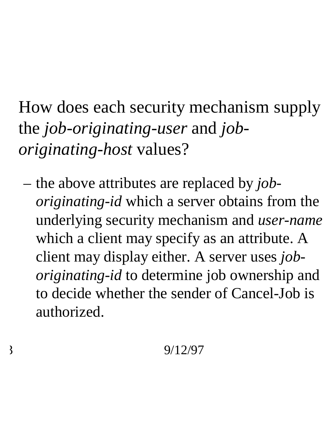• How does each security mechanism supply the *job-originating-user* and *joboriginating-host* values?

– the above attributes are replaced by *joboriginating-id* which a server obtains from the underlying security mechanism and *user-name* which a client may specify as an attribute. A client may display either. A server uses *joboriginating-id* to determine job ownership and to decide whether the sender of Cancel-Job is authorized.

## $\frac{3}{2}$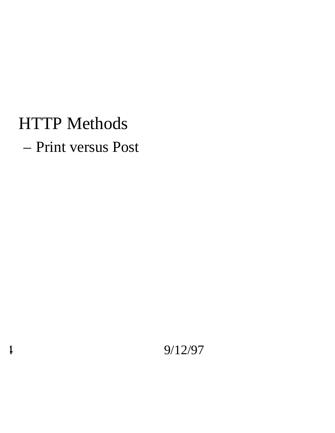## • HTTP Methods

– Print versus Post

4 9/12/97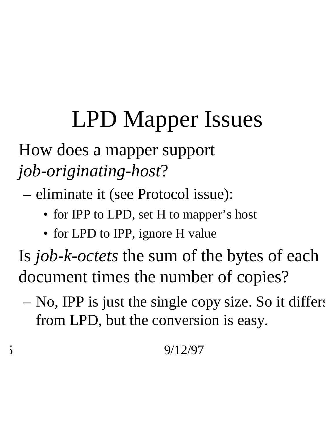# LPD Mapper Issues

• How does a mapper support *job-originating-host*?

– eliminate it (see Protocol issue):

- for IPP to LPD, set H to mapper's host
- for LPD to IPP, ignore H value

• Is *job-k-octets* the sum of the bytes of each document times the number of copies?

– No, IPP is just the single copy size. So it differs from LPD, but the conversion is easy.

### $\frac{5}{9/12/97}$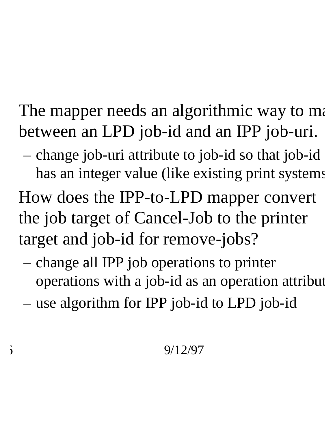The mapper needs an algorithmic way to ma between an LPD job-id and an IPP job-uri.

- change job-uri attribute to job-id so that job-id has an integer value (like existing print systems • How does the IPP-to-LPD mapper convert the job target of Cancel-Job to the printer target and job-id for remove-jobs?
	- change all IPP job operations to printer operations with a job-id as an operation attribut
	- use algorithm for IPP job-id to LPD job-id

### $\frac{6}{5}$  9/12/97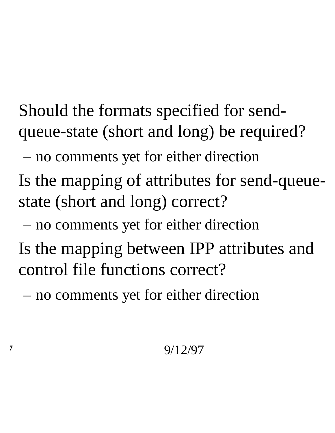• Should the formats specified for sendqueue-state (short and long) be required?

– no comments yet for either direction

• Is the mapping of attributes for send-queuestate (short and long) correct?

– no comments yet for either direction

Is the mapping between IPP attributes and control file functions correct?

– no comments yet for either direction

## $7 \hspace{2.5cm} 9/12/97$